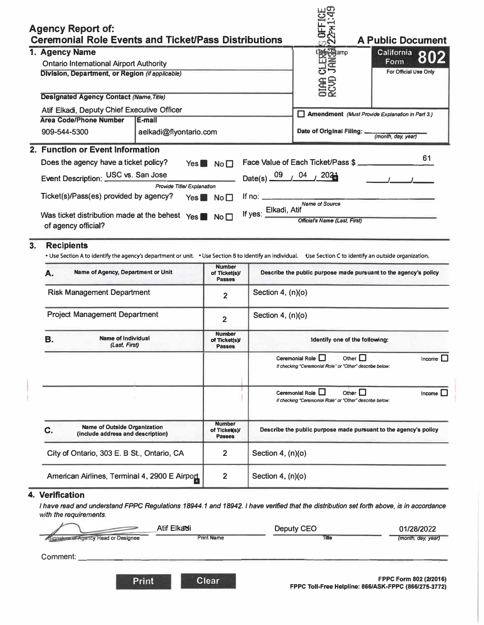|    | <b>Agency Report of:</b><br><b>Ceremonial Role Events and Ticket/Pass Distributions</b>                                                                                         |                        |                                                 |                      | S OFFICE<br>22PM1:49                                                                                 | <b>A Public Document</b>                               |  |
|----|---------------------------------------------------------------------------------------------------------------------------------------------------------------------------------|------------------------|-------------------------------------------------|----------------------|------------------------------------------------------------------------------------------------------|--------------------------------------------------------|--|
|    | 1. Agency Name                                                                                                                                                                  |                        |                                                 |                      |                                                                                                      | California 802                                         |  |
|    | <b>Ontario International Airport Authority</b>                                                                                                                                  |                        |                                                 |                      | <b>BASSISSION</b>                                                                                    |                                                        |  |
|    | Division, Department, or Region (if applicable)                                                                                                                                 |                        |                                                 |                      | ಕ                                                                                                    | For Official Use Only                                  |  |
|    | <b>Designated Agency Contact (Name, Title)</b>                                                                                                                                  |                        |                                                 |                      |                                                                                                      |                                                        |  |
|    | Atif Elkadi, Deputy Chief Executive Officer                                                                                                                                     |                        |                                                 |                      |                                                                                                      |                                                        |  |
|    | <b>Area Code/Phone Number</b>                                                                                                                                                   | E-mail                 |                                                 |                      |                                                                                                      | <b>Amendment</b> (Must Provide Explanation in Part 3.) |  |
|    | 909-544-5300                                                                                                                                                                    | aelkadi@flyontario.com |                                                 |                      | Date of Original Filing: _                                                                           | (month, day, year)                                     |  |
|    | 2. Function or Event Information                                                                                                                                                |                        |                                                 |                      |                                                                                                      |                                                        |  |
|    | Does the agency have a ticket policy?<br>$Yes \blacksquare No \square$                                                                                                          |                        |                                                 |                      | Face Value of Each Ticket/Pass \$                                                                    | 61                                                     |  |
|    | Event Description: USC vs. San Jose                                                                                                                                             |                        |                                                 | Date(s) 09 04 2021   |                                                                                                      |                                                        |  |
|    | Provide Title/Explanation                                                                                                                                                       |                        |                                                 |                      |                                                                                                      |                                                        |  |
|    | Ticket(s)/Pass(es) provided by agency?<br>Yes $\blacksquare$ No $\square$                                                                                                       |                        |                                                 |                      |                                                                                                      |                                                        |  |
|    | Was ticket distribution made at the behest $\gamma_{\text{es}}$ $\blacksquare$ No $\square$<br>of agency official?                                                              |                        |                                                 | If yes: Elkadi, Atif | Official's Name (Last, First)                                                                        |                                                        |  |
| 3. | <b>Recipients</b><br>. Use Section A to identify the agency's department or unit. . Use Section B to identify an individual. Use Section C to identify an outside organization. |                        |                                                 |                      |                                                                                                      |                                                        |  |
|    | <b>Name of Agency, Department or Unit</b><br>А.                                                                                                                                 |                        | <b>Number</b><br>of Ticket(s)/<br><b>Passes</b> |                      | Describe the public purpose made pursuant to the agency's policy                                     |                                                        |  |
|    | <b>Risk Management Department</b>                                                                                                                                               |                        | $\overline{2}$                                  | Section 4, $(n)(o)$  |                                                                                                      |                                                        |  |
|    | <b>Project Management Department</b>                                                                                                                                            |                        | $\overline{2}$                                  | Section 4, $(n)(o)$  |                                                                                                      |                                                        |  |
|    | <b>Name of Individual</b><br>В.<br>(Last, First)                                                                                                                                |                        | <b>Number</b><br>of Ticket(s)/<br><b>Passes</b> |                      | Identify one of the following:                                                                       |                                                        |  |
|    |                                                                                                                                                                                 |                        |                                                 |                      | Ceremonial Role $\Box$<br>Other $\Box$<br>If checking "Ceremonial Role" or "Other" describe below:   | Income $\square$                                       |  |
|    |                                                                                                                                                                                 |                        |                                                 |                      | Ceremonial Role <b>D</b><br>Other $\Box$<br>If checking "Ceremonial Role" or "Other" describe below: | Income $\Box$                                          |  |
|    | <b>Name of Outside Organization</b><br>C.<br>(include address and description)                                                                                                  |                        | <b>Number</b><br>of Ticket(s)/<br><b>Passes</b> |                      | Describe the public purpose made pursuant to the agency's policy                                     |                                                        |  |
|    | City of Ontario, 303 E. B St., Ontario, CA                                                                                                                                      |                        | 2                                               | Section 4, (n)(o)    |                                                                                                      |                                                        |  |
|    | American Airlines, Terminal 4, 2900 E Airport                                                                                                                                   |                        | $\overline{2}$                                  | Section 4, $(n)(o)$  |                                                                                                      |                                                        |  |
|    | 4. Verification                                                                                                                                                                 |                        |                                                 |                      |                                                                                                      |                                                        |  |

I have read and understand FPPC Regulations 18944.1 and 18942. I have verified that the distribution set forth above, is in accordance with the requirements.

|                                      | Atif Elkadi       | Deputy CEO   | 01/28/2022                                                                     |
|--------------------------------------|-------------------|--------------|--------------------------------------------------------------------------------|
| Signature of Agency Head or Designee | <b>Print Name</b> | <b>Title</b> | (month, day, year)                                                             |
| Comment:                             |                   |              |                                                                                |
| <b>Print</b>                         | <b>Clear</b>      |              | FPPC Form 802 (2/2016)<br>FRRA T. II F H.J.J.J., AAAIA AIC FRRA JAAAIASE ASSAY |

FPPC Form 802 (2/2016) FPPC Toll-Free Helpline: 866/ASK-FPPC (866/275-3772)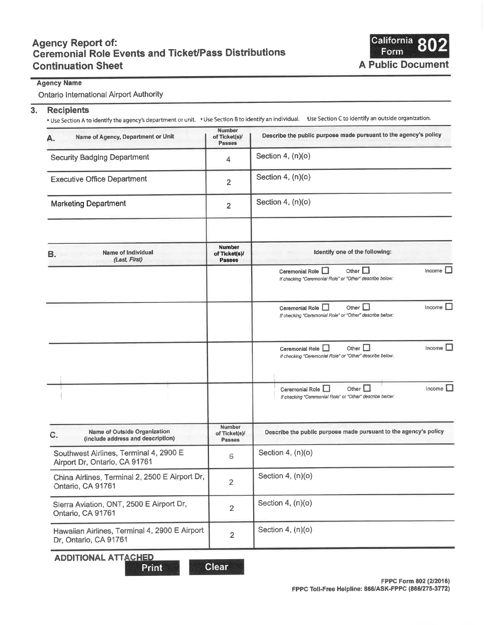# **Agency Report of: Ceremonial Role Events and Ticket/Pass Distributions Continuation Sheet**



# **Agency Name**

**Ontario International Airport Authority** 

#### $3.$ **Recipients**

• Use Section A to identify the agency's department or unit. • Use Section B to identify an individual. • Use Section C to identify an outside organization.

| Name of Agency, Department or Unit<br>А.                                       | <b>Number</b><br>of Ticket(s)/<br><b>Passes</b> | Describe the public purpose made pursuant to the agency's policy                                                          |
|--------------------------------------------------------------------------------|-------------------------------------------------|---------------------------------------------------------------------------------------------------------------------------|
| <b>Security Badging Department</b>                                             | 4                                               | Section 4, (n)(o)                                                                                                         |
| <b>Executive Office Department</b>                                             | $\overline{2}$                                  | Section 4, $(n)(o)$                                                                                                       |
| <b>Marketing Department</b>                                                    | $\overline{2}$                                  | Section 4, $(n)(o)$                                                                                                       |
| <b>Name of Individual</b><br>В.<br>(Last, First)                               | <b>Number</b><br>of Ticket(s)/<br><b>Passes</b> | Identify one of the following:                                                                                            |
|                                                                                |                                                 | Income<br>Ceremonial Role <sup>1</sup><br>Other $\Box$<br>If checking "Ceremonial Role" or "Other" describe below:        |
|                                                                                |                                                 | Income $\Box$<br>Other $\Box$<br>Ceremonial Role <b>D</b><br>If checking "Ceremonial Role" or "Other" describe below:     |
|                                                                                |                                                 | Income<br>Ceremonial Role <b>N</b><br>Other $\Box$<br>If checking "Ceremonial Role" or "Other" describe below:            |
|                                                                                |                                                 | Income $\square$<br>Ceremonial Role $\square$<br>Other $\Box$<br>If checking "Ceremonial Role" or "Other" describe below: |
| <b>Name of Outside Organization</b><br>C.<br>(include address and description) | <b>Number</b><br>of Ticket(s)/<br><b>Passes</b> | Describe the public purpose made pursuant to the agency's policy                                                          |
| Southwest Airlines, Terminal 4, 2900 E<br>Airport Dr, Ontario, CA 91761        | 6                                               | Section 4, $(n)(o)$                                                                                                       |
| China Airlines, Terminal 2, 2500 E Airport Dr,<br>Ontario, CA 91761            | 2                                               | Section 4, $(n)(o)$                                                                                                       |
| Sierra Aviation, ONT, 2500 E Airport Dr,<br>Ontario, CA 91761                  | $\overline{2}$                                  | Section 4, (n)(o)                                                                                                         |
| Hawaiian Airlines, Terminal 4, 2900 E Airport<br>Dr, Ontario, CA 91761         | $\overline{2}$                                  | Section 4, (n)(o)                                                                                                         |

**ADDITIONAL ATTACHED Print** 

**Clear**